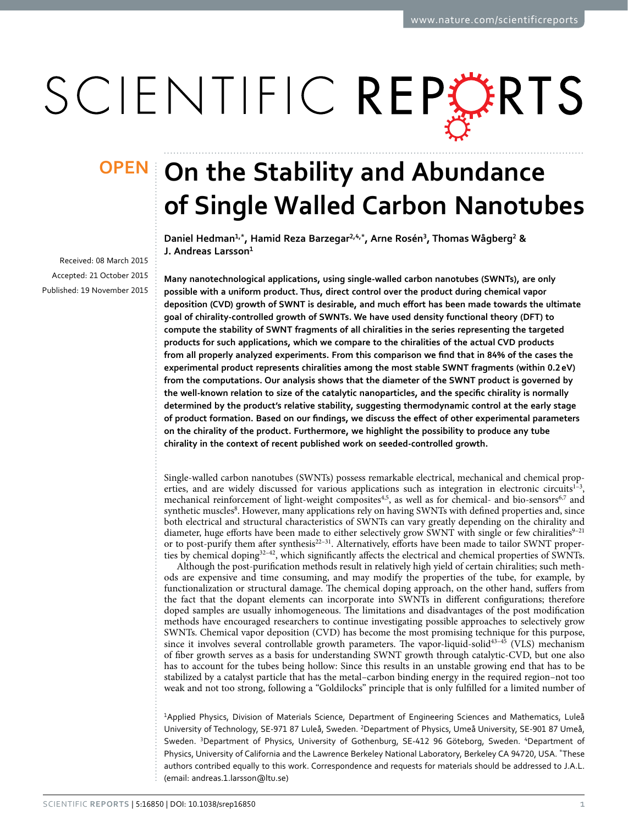# SCIENTIFIC REPERTS

Received: 08 March 2015 accepted: 21 October 2015 Published: 19 November 2015

## **OPEN** On the Stability and Abundance **of Single Walled Carbon Nanotubes**

**Daniel Hedman<sup>1</sup>,\*, Hamid Reza Barzegar<sup>2</sup>,4,\*, Arne Rosén<sup>3</sup>, Thomas Wågberg<sup>2</sup> & J. Andreas Larsson<sup>1</sup>**

**Many nanotechnological applications, using single-walled carbon nanotubes (SWNTs), are only possible with a uniform product. Thus, direct control over the product during chemical vapor deposition (CVD) growth of SWNT is desirable, and much effort has been made towards the ultimate goal of chirality-controlled growth of SWNTs. We have used density functional theory (DFT) to compute the stability of SWNT fragments of all chiralities in the series representing the targeted products for such applications, which we compare to the chiralities of the actual CVD products from all properly analyzed experiments. From this comparison we find that in 84% of the cases the experimental product represents chiralities among the most stable SWNT fragments (within 0.2eV) from the computations. Our analysis shows that the diameter of the SWNT product is governed by the well-known relation to size of the catalytic nanoparticles, and the specific chirality is normally determined by the product's relative stability, suggesting thermodynamic control at the early stage of product formation. Based on our findings, we discuss the effect of other experimental parameters on the chirality of the product. Furthermore, we highlight the possibility to produce any tube chirality in the context of recent published work on seeded-controlled growth.**

Single-walled carbon nanotubes (SWNTs) possess remarkable electrical, mechanical and chemical properties, and are widely discussed for various applications such as integration in electronic circuits<sup>1-3</sup>, mechanical reinforcement of light-weight composites<sup>4,5</sup>, as well as for chemical- and bio-sensors<sup>[6](#page-7-3)[,7](#page-7-4)</sup> and synthetic muscles<sup>8</sup>. However, many applications rely on having SWNTs with defined properties and, since both electrical and structural characteristics of SWNTs can vary greatly depending on the chirality and diameter, huge efforts have been made to either selectively grow SWNT with single or few chiralities<sup>9-21</sup> or to post-purify them after synthesis<sup>22-31</sup>. Alternatively, efforts have been made to tailor SWNT properties by chemical dopin[g32–42](#page-7-8), which significantly affects the electrical and chemical properties of SWNTs.

Although the post-purification methods result in relatively high yield of certain chiralities; such methods are expensive and time consuming, and may modify the properties of the tube, for example, by functionalization or structural damage. The chemical doping approach, on the other hand, suffers from the fact that the dopant elements can incorporate into SWNTs in different configurations; therefore doped samples are usually inhomogeneous. The limitations and disadvantages of the post modification methods have encouraged researchers to continue investigating possible approaches to selectively grow SWNTs. Chemical vapor deposition (CVD) has become the most promising technique for this purpose, since it involves several controllable growth parameters. The vapor-liquid-solid<sup>43-45</sup> (VLS) mechanism of fiber growth serves as a basis for understanding SWNT growth through catalytic-CVD, but one also has to account for the tubes being hollow: Since this results in an unstable growing end that has to be stabilized by a catalyst particle that has the metal–carbon binding energy in the required region–not too weak and not too strong, following a "Goldilocks" principle that is only fulfilled for a limited number of

1 Applied Physics, Division of Materials Science, Department of Engineering Sciences and Mathematics, Luleå University of Technology, SE-971 87 Luleå, Sweden. <sup>2</sup>Department of Physics, Umeå University, SE-901 87 Umeå, Sweden. <sup>3</sup>Department of Physics, University of Gothenburg, SE-412 96 Göteborg, Sweden. <sup>4</sup>Department of Physics, University of California and the Lawrence Berkeley National Laboratory, Berkeley CA 94720, USA. \*These authors contribed equally to this work. Correspondence and requests for materials should be addressed to J.A.L. (email: [andreas.1.larsson@ltu.se](mailto:andreas.1.larsson@ltu.se))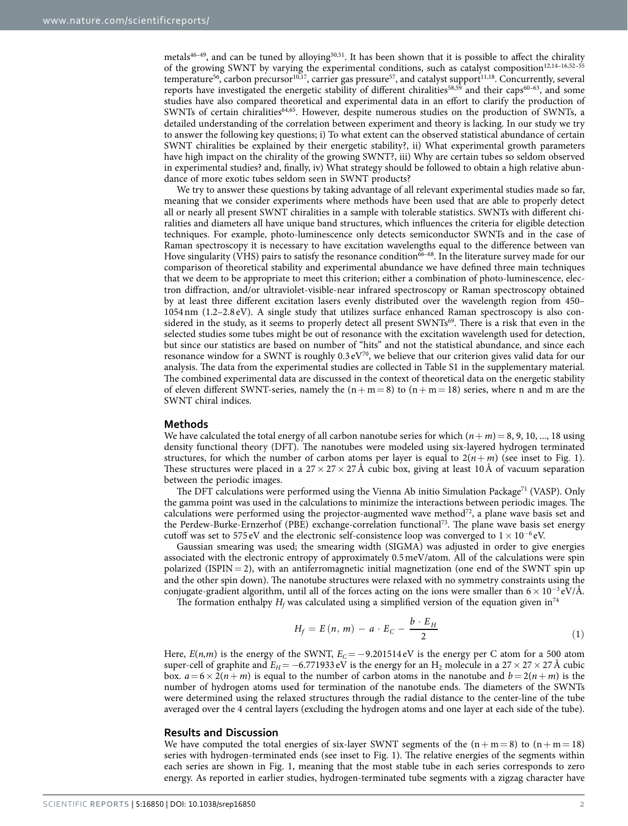metals<sup>46–49</sup>, and can be tuned by alloying<sup>[50](#page-8-2),51</sup>. It has been shown that it is possible to affect the chirality of the growing SWNT by varying the experimental conditions, such as catalyst composition<sup>[12,](#page-7-9)14-16,52-55</sup> temperature<sup>56</sup>, carbon precursor<sup>[10,](#page-7-11)[17](#page-7-12)</sup>, carrier gas pressure<sup>57</sup>, and catalyst support<sup>[11](#page-7-13)[,18](#page-7-14)</sup>. Concurrently, several reports have investigated the energetic stability of different chiralities<sup>[58,](#page-8-7)[59](#page-8-8)</sup> and their caps<sup>60–63</sup>, and some studies have also compared theoretical and experimental data in an effort to clarify the production of SWNTs of certain chiralitie[s64](#page-8-10),[65](#page-8-11). However, despite numerous studies on the production of SWNTs, a detailed understanding of the correlation between experiment and theory is lacking. In our study we try to answer the following key questions; i) To what extent can the observed statistical abundance of certain SWNT chiralities be explained by their energetic stability?, ii) What experimental growth parameters have high impact on the chirality of the growing SWNT?, iii) Why are certain tubes so seldom observed in experimental studies? and, finally, iv) What strategy should be followed to obtain a high relative abundance of more exotic tubes seldom seen in SWNT products?

We try to answer these questions by taking advantage of all relevant experimental studies made so far, meaning that we consider experiments where methods have been used that are able to properly detect all or nearly all present SWNT chiralities in a sample with tolerable statistics. SWNTs with different chiralities and diameters all have unique band structures, which influences the criteria for eligible detection techniques. For example, photo-luminescence only detects semiconductor SWNTs and in the case of Raman spectroscopy it is necessary to have excitation wavelengths equal to the difference between van Hove singularity (VHS) pairs to satisfy the resonance condition<sup>66–68</sup>. In the literature survey made for our comparison of theoretical stability and experimental abundance we have defined three main techniques that we deem to be appropriate to meet this criterion; either a combination of photo-luminescence, electron diffraction, and/or ultraviolet-visible-near infrared spectroscopy or Raman spectroscopy obtained by at least three different excitation lasers evenly distributed over the wavelength region from 450– 1054nm (1.2–2.8 eV). A single study that utilizes surface enhanced Raman spectroscopy is also considered in the study, as it seems to properly detect all present SWNTs<sup>69</sup>. There is a risk that even in the selected studies some tubes might be out of resonance with the excitation wavelength used for detection, but since our statistics are based on number of "hits" and not the statistical abundance, and since each resonance window for a SWNT is roughly  $0.3 \text{ eV}^{70}$ , we believe that our criterion gives valid data for our analysis. The data from the experimental studies are collected in Table S1 in the supplementary material. The combined experimental data are discussed in the context of theoretical data on the energetic stability of eleven different SWNT-series, namely the  $(n + m = 8)$  to  $(n + m = 18)$  series, where n and m are the SWNT chiral indices.

#### **Methods**

We have calculated the total energy of all carbon nanotube series for which  $(n + m) = 8, 9, 10, \ldots, 18$  using density functional theory (DFT). The nanotubes were modeled using six-layered hydrogen terminated structures, for which the number of carbon atoms per layer is equal to  $2(n + m)$  (see inset to Fig. 1). These structures were placed in a  $27 \times 27 \times 27$  Å cubic box, giving at least 10Å of vacuum separation between the periodic images.

The DFT calculations were performed using the Vienna Ab initio Simulation Package<sup>71</sup> (VASP). Only the gamma point was used in the calculations to minimize the interactions between periodic images. The calculations were performed using the projector-augmented wave method $^{72}$ , a plane wave basis set and the Perdew-Burke-Ernzerhof (PBE) exchange-correlation functional[73.](#page-8-17) The plane wave basis set energy cutoff was set to 575 eV and the electronic self-consistence loop was converged to  $1 \times 10^{-6}$  eV.

Gaussian smearing was used; the smearing width (SIGMA) was adjusted in order to give energies associated with the electronic entropy of approximately 0.5meV/atom. All of the calculations were spin polarized (ISPIN = 2), with an antiferromagnetic initial magnetization (one end of the SWNT spin up and the other spin down). The nanotube structures were relaxed with no symmetry constraints using the conjugate-gradient algorithm, until all of the forces acting on the ions were smaller than  $6 \times 10^{-3}$  eV/Å.

The formation enthalpy  $H_f$  was calculated using a simplified version of the equation given in<sup>74</sup>

$$
H_f = E(n, m) - a \cdot E_C - \frac{b \cdot E_H}{2} \tag{1}
$$

Here,  $E(n,m)$  is the energy of the SWNT,  $E_C = -9.201514 \text{ eV}$  is the energy per C atom for a 500 atom super-cell of graphite and  $E_H$ = −6.771933 eV is the energy for an H<sub>2</sub> molecule in a 27 × 27 × 27 Å cubic box.  $a = 6 \times 2(n+m)$  is equal to the number of carbon atoms in the nanotube and  $b = 2(n+m)$  is the number of hydrogen atoms used for termination of the nanotube ends. The diameters of the SWNTs were determined using the relaxed structures through the radial distance to the center-line of the tube averaged over the 4 central layers (excluding the hydrogen atoms and one layer at each side of the tube).

#### **Results and Discussion**

We have computed the total energies of six-layer SWNT segments of the  $(n + m = 8)$  to  $(n + m = 18)$ series with hydrogen-terminated ends (see inset to [Fig. 1\)](#page-2-0). The relative energies of the segments within each series are shown in [Fig. 1](#page-2-0), meaning that the most stable tube in each series corresponds to zero energy. As reported in earlier studies, hydrogen-terminated tube segments with a zigzag character have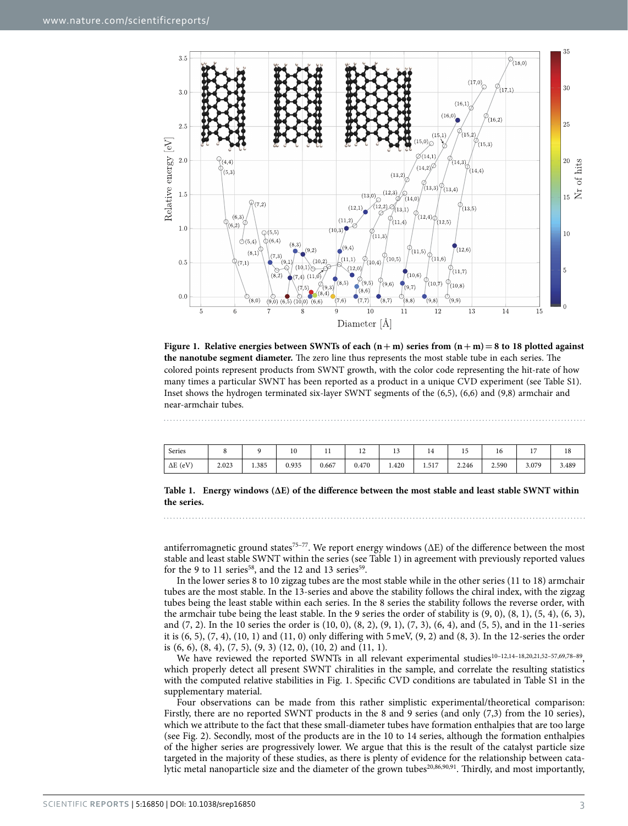

<span id="page-2-0"></span>**Figure 1.** Relative energies between SWNTs of each  $(n+m)$  series from  $(n+m)=8$  to 18 plotted against **the nanotube segment diameter.** The zero line thus represents the most stable tube in each series. The colored points represent products from SWNT growth, with the color code representing the hit-rate of how many times a particular SWNT has been reported as a product in a unique CVD experiment (see Table S1). Inset shows the hydrogen terminated six-layer SWNT segments of the (6,5), (6,6) and (9,8) armchair and near-armchair tubes.

<span id="page-2-1"></span>

| Series          |       |       | $\overline{10}$<br>1 U | . .   | ∸     |       | ᆠ     | <b>LJ</b> | 16    | . .   | 1 <sub>0</sub><br>18 |
|-----------------|-------|-------|------------------------|-------|-------|-------|-------|-----------|-------|-------|----------------------|
| $\Delta E$ (eV) | 2.023 | 1.385 | 0.935                  | 0.667 | 0.470 | 1.420 | 1.517 | 2.246     | 2.590 | 3.079 | 3.489                |

**Table 1. Energy windows (∆E) of the difference between the most stable and least stable SWNT within the series.**

antiferromagnetic ground states<sup>75–77</sup>. We report energy windows ( $\Delta E$ ) of the difference between the most stable and least stable SWNT within the series (see [Table 1\)](#page-2-1) in agreement with previously reported values for the 9 to 11 series<sup>58</sup>, and the 12 and 13 series<sup>59</sup>.

In the lower series 8 to 10 zigzag tubes are the most stable while in the other series (11 to 18) armchair tubes are the most stable. In the 13-series and above the stability follows the chiral index, with the zigzag tubes being the least stable within each series. In the 8 series the stability follows the reverse order, with the armchair tube being the least stable. In the 9 series the order of stability is (9, 0), (8, 1), (5, 4), (6, 3), and (7, 2). In the 10 series the order is (10, 0), (8, 2), (9, 1), (7, 3), (6, 4), and (5, 5), and in the 11-series it is  $(6, 5)$ ,  $(7, 4)$ ,  $(10, 1)$  and  $(11, 0)$  only differing with  $5 \text{ meV}$ ,  $(9, 2)$  and  $(8, 3)$ . In the 12-series the order is (6, 6), (8, 4), (7, 5), (9, 3) (12, 0), (10, 2) and (11, 1).

We have reviewed the reported SWNTs in all relevant experimental studies<sup>10-12,14-18,[20](#page-7-15)[,21](#page-7-16),52-57,[69](#page-8-13),78-89</sup>, which properly detect all present SWNT chiralities in the sample, and correlate the resulting statistics with the computed relative stabilities in [Fig. 1.](#page-2-0) Specific CVD conditions are tabulated in Table S1 in the supplementary material.

Four observations can be made from this rather simplistic experimental/theoretical comparison: Firstly, there are no reported SWNT products in the 8 and 9 series (and only (7,3) from the 10 series), which we attribute to the fact that these small-diameter tubes have formation enthalpies that are too large (see [Fig. 2\)](#page-3-0). Secondly, most of the products are in the 10 to 14 series, although the formation enthalpies of the higher series are progressively lower. We argue that this is the result of the catalyst particle size targeted in the majority of these studies, as there is plenty of evidence for the relationship between cata-lytic metal nanoparticle size and the diameter of the grown tubes<sup>[20](#page-7-15)[,86](#page-9-0),[90,](#page-9-1)91</sup>. Thirdly, and most importantly,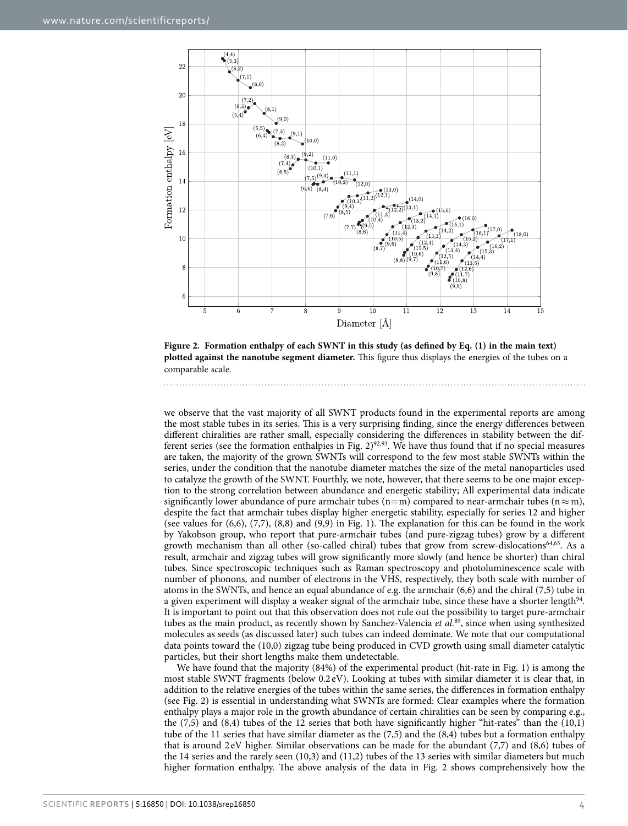

<span id="page-3-0"></span>**Figure 2. Formation enthalpy of each SWNT in this study (as defined by Eq. (1) in the main text) plotted against the nanotube segment diameter.** This figure thus displays the energies of the tubes on a comparable scale.

we observe that the vast majority of all SWNT products found in the experimental reports are among the most stable tubes in its series. This is a very surprising finding, since the energy differences between different chiralities are rather small, especially considering the differences in stability between the dif-ferent series (see the formation enthalpies in [Fig. 2](#page-3-0))<sup>92,93</sup>. We have thus found that if no special measures are taken, the majority of the grown SWNTs will correspond to the few most stable SWNTs within the series, under the condition that the nanotube diameter matches the size of the metal nanoparticles used to catalyze the growth of the SWNT. Fourthly, we note, however, that there seems to be one major exception to the strong correlation between abundance and energetic stability; All experimental data indicate significantly lower abundance of pure armchair tubes (n=m) compared to near-armchair tubes (n $\approx$ m), despite the fact that armchair tubes display higher energetic stability, especially for series 12 and higher (see values for (6,6), (7,7), (8,8) and (9,9) in [Fig. 1](#page-2-0)). The explanation for this can be found in the work by Yakobson group, who report that pure-armchair tubes (and pure-zigzag tubes) grow by a different growth mechanism than all other (so-called chiral) tubes that grow from screw-dislocations<sup>64[,65](#page-8-11)</sup>. As a result, armchair and zigzag tubes will grow significantly more slowly (and hence be shorter) than chiral tubes. Since spectroscopic techniques such as Raman spectroscopy and photoluminescence scale with number of phonons, and number of electrons in the VHS, respectively, they both scale with number of atoms in the SWNTs, and hence an equal abundance of e.g. the armchair (6,6) and the chiral (7,5) tube in a given experiment will display a weaker signal of the armchair tube, since these have a shorter length<sup>[94](#page-9-5)</sup>. It is important to point out that this observation does not rule out the possibility to target pure-armchair tubes as the main product, as recently shown by Sanchez-Valencia *et al.*[89,](#page-9-6) since when using synthesized molecules as seeds (as discussed later) such tubes can indeed dominate. We note that our computational data points toward the (10,0) zigzag tube being produced in CVD growth using small diameter catalytic particles, but their short lengths make them undetectable.

We have found that the majority (84%) of the experimental product (hit-rate in [Fig. 1\)](#page-2-0) is among the most stable SWNT fragments (below 0.2 eV). Looking at tubes with similar diameter it is clear that, in addition to the relative energies of the tubes within the same series, the differences in formation enthalpy (see [Fig. 2](#page-3-0)) is essential in understanding what SWNTs are formed: Clear examples where the formation enthalpy plays a major role in the growth abundance of certain chiralities can be seen by comparing e.g., the (7,5) and (8,4) tubes of the 12 series that both have significantly higher "hit-rates" than the (10,1) tube of the 11 series that have similar diameter as the (7,5) and the (8,4) tubes but a formation enthalpy that is around 2 eV higher. Similar observations can be made for the abundant (7,7) and (8,6) tubes of the 14 series and the rarely seen (10,3) and (11,2) tubes of the 13 series with similar diameters but much higher formation enthalpy. The above analysis of the data in Fig. 2 shows comprehensively how the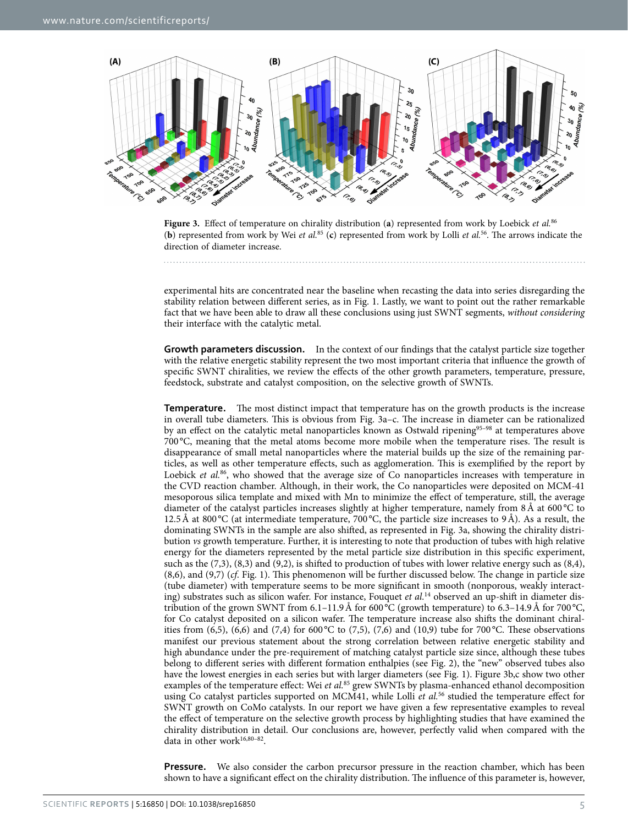

<span id="page-4-0"></span>**Figure 3.** Effect of temperature on chirality distribution (**a**) represented from work by Loebick *et al.*[86](#page-9-0) (**b**) represented from work by Wei *et al.*[85](#page-9-8) (**c**) represented from work by Lolli *et al.*[56.](#page-8-5) The arrows indicate the direction of diameter increase.

experimental hits are concentrated near the baseline when recasting the data into series disregarding the stability relation between different series, as in [Fig. 1](#page-2-0). Lastly, we want to point out the rather remarkable fact that we have been able to draw all these conclusions using just SWNT segments, *without considering* their interface with the catalytic metal.

**Growth parameters discussion.** In the context of our findings that the catalyst particle size together with the relative energetic stability represent the two most important criteria that influence the growth of specific SWNT chiralities, we review the effects of the other growth parameters, temperature, pressure, feedstock, substrate and catalyst composition, on the selective growth of SWNTs.

**Temperature.** The most distinct impact that temperature has on the growth products is the increase in overall tube diameters. This is obvious from [Fig. 3a–c](#page-4-0). The increase in diameter can be rationalized by an effect on the catalytic metal nanoparticles known as Ostwald ripening<sup>95–98</sup> at temperatures above 700 °C, meaning that the metal atoms become more mobile when the temperature rises. The result is disappearance of small metal nanoparticles where the material builds up the size of the remaining particles, as well as other temperature effects, such as agglomeration. This is exemplified by the report by Loebick *et al.*<sup>86</sup>, who showed that the average size of Co nanoparticles increases with temperature in the CVD reaction chamber. Although, in their work, the Co nanoparticles were deposited on MCM-41 mesoporous silica template and mixed with Mn to minimize the effect of temperature, still, the average diameter of the catalyst particles increases slightly at higher temperature, namely from 8Å at 600 °C to 12.5Å at 800 °C (at intermediate temperature, 700 °C, the particle size increases to 9Å). As a result, the dominating SWNTs in the sample are also shifted, as represented in [Fig. 3a](#page-4-0), showing the chirality distribution *vs* growth temperature. Further, it is interesting to note that production of tubes with high relative energy for the diameters represented by the metal particle size distribution in this specific experiment, such as the (7,3), (8,3) and (9,2), is shifted to production of tubes with lower relative energy such as (8,4), (8,6), and (9,7) (*cf*. [Fig. 1\)](#page-2-0). This phenomenon will be further discussed below. The change in particle size (tube diameter) with temperature seems to be more significant in smooth (nonporous, weakly interacting) substrates such as silicon wafer. For instance, Fouquet *et al.*[14](#page-7-10) observed an up-shift in diameter distribution of the grown SWNT from  $6.1-11.9\text{ Å}$  for  $600\text{°C}$  (growth temperature) to  $6.3-14.9\text{ Å}$  for  $700\text{°C}$ , for Co catalyst deposited on a silicon wafer. The temperature increase also shifts the dominant chiralities from (6,5), (6,6) and (7,4) for 600 °C to (7,5), (7,6) and (10,9) tube for 700 °C. These observations manifest our previous statement about the strong correlation between relative energetic stability and high abundance under the pre-requirement of matching catalyst particle size since, although these tubes belong to different series with different formation enthalpies (see [Fig. 2](#page-3-0)), the "new" observed tubes also have the lowest energies in each series but with larger diameters (see [Fig. 1](#page-2-0)). [Figure 3b,c](#page-4-0) show two other examples of the temperature effect: Wei *et al.*[85](#page-9-8) grew SWNTs by plasma-enhanced ethanol decomposition using Co catalyst particles supported on MCM41, while Lolli *et al.*[56](#page-8-5) studied the temperature effect for SWNT growth on CoMo catalysts. In our report we have given a few representative examples to reveal the effect of temperature on the selective growth process by highlighting studies that have examined the chirality distribution in detail. Our conclusions are, however, perfectly valid when compared with the data in other work $16,80-82$  $16,80-82$ .

**Pressure.** We also consider the carbon precursor pressure in the reaction chamber, which has been shown to have a significant effect on the chirality distribution. The influence of this parameter is, however,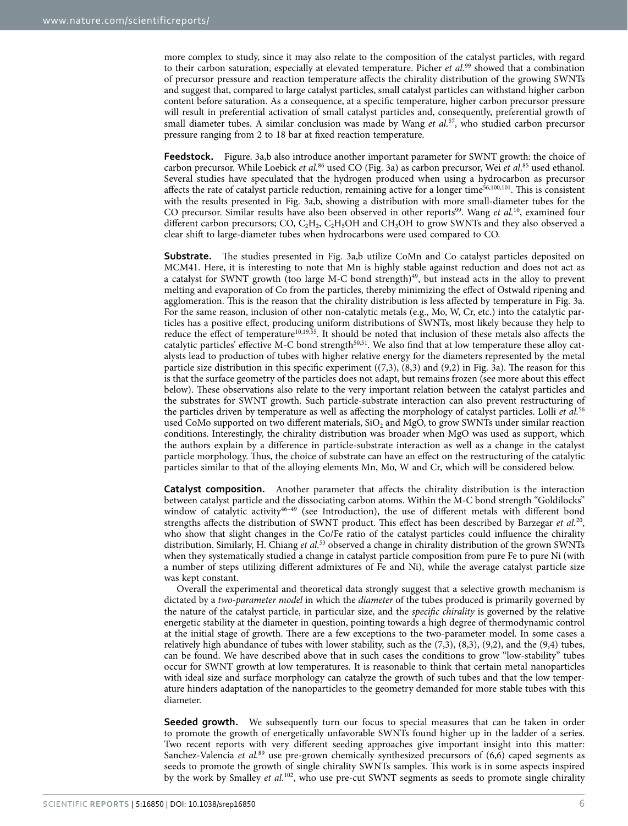more complex to study, since it may also relate to the composition of the catalyst particles, with regard to their carbon saturation, especially at elevated temperature. Picher *et al.*[99](#page-9-9) showed that a combination of precursor pressure and reaction temperature affects the chirality distribution of the growing SWNTs and suggest that, compared to large catalyst particles, small catalyst particles can withstand higher carbon content before saturation. As a consequence, at a specific temperature, higher carbon precursor pressure will result in preferential activation of small catalyst particles and, consequently, preferential growth of small diameter tubes. A similar conclusion was made by Wang *et al.*[57](#page-8-6), who studied carbon precursor pressure ranging from 2 to 18 bar at fixed reaction temperature.

**Feedstock.** [Figure. 3a,b](#page-4-0) also introduce another important parameter for SWNT growth: the choice of carbon precursor. While Loebick *et al.*[86](#page-9-0) used CO [\(Fig. 3a\)](#page-4-0) as carbon precursor, Wei *et al.*[85](#page-9-8) used ethanol. Several studies have speculated that the hydrogen produced when using a hydrocarbon as precursor affects the rate of catalyst particle reduction, remaining active for a longer time $56,100,101$  $56,100,101$  $56,100,101$  $56,100,101$ . This is consistent with the results presented in [Fig. 3a,b,](#page-4-0) showing a distribution with more small-diameter tubes for the CO precursor. Similar results have also been observed in other reports<sup>99</sup>. Wang *et al.*<sup>10</sup>, examined four different carbon precursors; CO,  $C_2H_2$ ,  $C_3H_3OH$  and  $CH_3OH$  to grow SWNTs and they also observed a clear shift to large-diameter tubes when hydrocarbons were used compared to CO.

**Substrate.** The studies presented in Fig. 3a,b utilize CoMn and Co catalyst particles deposited on MCM41. Here, it is interesting to note that Mn is highly stable against reduction and does not act as a catalyst for SWNT growth (too large M-C bond strength)<sup>[49](#page-8-22)</sup>, but instead acts in the alloy to prevent melting and evaporation of Co from the particles, thereby minimizing the effect of Ostwald ripening and agglomeration. This is the reason that the chirality distribution is less affected by temperature in [Fig. 3a](#page-4-0). For the same reason, inclusion of other non-catalytic metals (e.g., Mo, W, Cr, etc.) into the catalytic particles has a positive effect, producing uniform distributions of SWNTs, most likely because they help to reduce the effect of temperature<sup>[10,](#page-7-11)[19](#page-7-18)[,55](#page-8-23)</sup>. It should be noted that inclusion of these metals also affects the catalytic particles' effective M-C bond strength $50,51$ . We also find that at low temperature these alloy catalysts lead to production of tubes with higher relative energy for the diameters represented by the metal particle size distribution in this specific experiment ((7,3), (8,3) and (9,2) in [Fig. 3a\)](#page-4-0). The reason for this is that the surface geometry of the particles does not adapt, but remains frozen (see more about this effect below). These observations also relate to the very important relation between the catalyst particles and the substrates for SWNT growth. Such particle-substrate interaction can also prevent restructuring of the particles driven by temperature as well as affecting the morphology of catalyst particles. Lolli *et al.*[56](#page-8-5) used CoMo supported on two different materials,  $SiO<sub>2</sub>$  and MgO, to grow SWNTs under similar reaction conditions. Interestingly, the chirality distribution was broader when MgO was used as support, which the authors explain by a difference in particle-substrate interaction as well as a change in the catalyst particle morphology. Thus, the choice of substrate can have an effect on the restructuring of the catalytic particles similar to that of the alloying elements Mn, Mo, W and Cr, which will be considered below.

**Catalyst composition.** Another parameter that affects the chirality distribution is the interaction between catalyst particle and the dissociating carbon atoms. Within the M-C bond strength "Goldilocks" window of catalytic activity<sup>46-49</sup> (see Introduction), the use of different metals with different bond strengths affects the distribution of SWNT product. This effect has been described by Barzegar *et al.*[20](#page-7-15), who show that slight changes in the Co/Fe ratio of the catalyst particles could influence the chirality distribution. Similarly, H. Chiang *et al.*[53](#page-8-24) observed a change in chirality distribution of the grown SWNTs when they systematically studied a change in catalyst particle composition from pure Fe to pure Ni (with a number of steps utilizing different admixtures of Fe and Ni), while the average catalyst particle size was kept constant.

Overall the experimental and theoretical data strongly suggest that a selective growth mechanism is dictated by a *two-parameter model* in which the *diameter* of the tubes produced is primarily governed by the nature of the catalyst particle, in particular size, and the *specific chirality* is governed by the relative energetic stability at the diameter in question, pointing towards a high degree of thermodynamic control at the initial stage of growth. There are a few exceptions to the two-parameter model. In some cases a relatively high abundance of tubes with lower stability, such as the (7,3), (8,3), (9,2), and the (9,4) tubes, can be found. We have described above that in such cases the conditions to grow "low-stability" tubes occur for SWNT growth at low temperatures. It is reasonable to think that certain metal nanoparticles with ideal size and surface morphology can catalyze the growth of such tubes and that the low temperature hinders adaptation of the nanoparticles to the geometry demanded for more stable tubes with this diameter.

**Seeded growth.** We subsequently turn our focus to special measures that can be taken in order to promote the growth of energetically unfavorable SWNTs found higher up in the ladder of a series. Two recent reports with very different seeding approaches give important insight into this matter: Sanchez-Valencia *et al.*[89](#page-9-6) use pre-grown chemically synthesized precursors of (6,6) caped segments as seeds to promote the growth of single chirality SWNTs samples. This work is in some aspects inspired by the work by Smalley *et al.*[102](#page-9-12), who use pre-cut SWNT segments as seeds to promote single chirality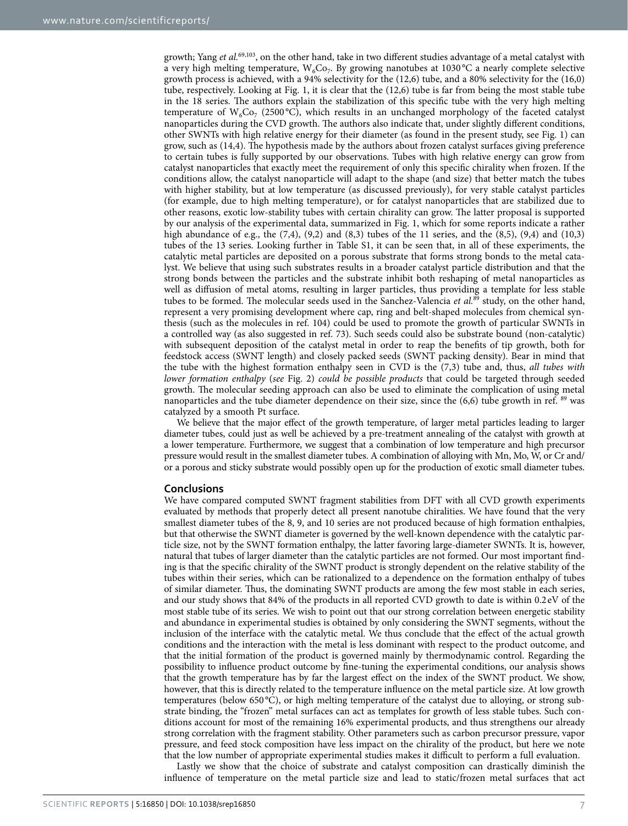growth; Yang *et al.*[69](#page-8-13)[,103](#page-9-13), on the other hand, take in two different studies advantage of a metal catalyst with a very high melting temperature,  $W_6Co_7$ . By growing nanotubes at 1030 °C a nearly complete selective growth process is achieved, with a 94% selectivity for the (12,6) tube, and a 80% selectivity for the (16,0) tube, respectively. Looking at [Fig. 1](#page-2-0), it is clear that the (12,6) tube is far from being the most stable tube in the 18 series. The authors explain the stabilization of this specific tube with the very high melting temperature of  $W_6Co_7$  (2500 °C), which results in an unchanged morphology of the faceted catalyst nanoparticles during the CVD growth. The authors also indicate that, under slightly different conditions, other SWNTs with high relative energy for their diameter (as found in the present study, see [Fig. 1](#page-2-0)) can grow, such as (14,4). The hypothesis made by the authors about frozen catalyst surfaces giving preference to certain tubes is fully supported by our observations. Tubes with high relative energy can grow from catalyst nanoparticles that exactly meet the requirement of only this specific chirality when frozen. If the conditions allow, the catalyst nanoparticle will adapt to the shape (and size) that better match the tubes with higher stability, but at low temperature (as discussed previously), for very stable catalyst particles (for example, due to high melting temperature), or for catalyst nanoparticles that are stabilized due to other reasons, exotic low-stability tubes with certain chirality can grow. The latter proposal is supported by our analysis of the experimental data, summarized in [Fig. 1](#page-2-0), which for some reports indicate a rather high abundance of e.g., the  $(7,4)$ ,  $(9,2)$  and  $(8,3)$  tubes of the 11 series, and the  $(8,5)$ ,  $(9,4)$  and  $(10,3)$ tubes of the 13 series. Looking further in Table S1, it can be seen that, in all of these experiments, the catalytic metal particles are deposited on a porous substrate that forms strong bonds to the metal catalyst. We believe that using such substrates results in a broader catalyst particle distribution and that the strong bonds between the particles and the substrate inhibit both reshaping of metal nanoparticles as well as diffusion of metal atoms, resulting in larger particles, thus providing a template for less stable tubes to be formed. The molecular seeds used in the Sanchez-Valencia *et al.*[89](#page-9-6) study, on the other hand, represent a very promising development where cap, ring and belt-shaped molecules from chemical synthesis (such as the molecules in ref. [104](#page-9-14)) could be used to promote the growth of particular SWNTs in a controlled way (as also suggested in ref. [73\)](#page-8-17). Such seeds could also be substrate bound (non-catalytic) with subsequent deposition of the catalyst metal in order to reap the benefits of tip growth, both for feedstock access (SWNT length) and closely packed seeds (SWNT packing density). Bear in mind that the tube with the highest formation enthalpy seen in CVD is the (7,3) tube and, thus, *all tubes with lower formation enthalpy* (*see* [Fig. 2](#page-3-0)) *could be possible products* that could be targeted through seeded growth. The molecular seeding approach can also be used to eliminate the complication of using metal nanoparticles and the tube diameter dependence on their size, since the (6,6) tube growth in ref. [89](#page-9-6) was catalyzed by a smooth Pt surface.

We believe that the major effect of the growth temperature, of larger metal particles leading to larger diameter tubes, could just as well be achieved by a pre-treatment annealing of the catalyst with growth at a lower temperature. Furthermore, we suggest that a combination of low temperature and high precursor pressure would result in the smallest diameter tubes. A combination of alloying with Mn, Mo, W, or Cr and/ or a porous and sticky substrate would possibly open up for the production of exotic small diameter tubes.

### **Conclusions**

We have compared computed SWNT fragment stabilities from DFT with all CVD growth experiments evaluated by methods that properly detect all present nanotube chiralities. We have found that the very smallest diameter tubes of the 8, 9, and 10 series are not produced because of high formation enthalpies, but that otherwise the SWNT diameter is governed by the well-known dependence with the catalytic particle size, not by the SWNT formation enthalpy, the latter favoring large-diameter SWNTs. It is, however, natural that tubes of larger diameter than the catalytic particles are not formed. Our most important finding is that the specific chirality of the SWNT product is strongly dependent on the relative stability of the tubes within their series, which can be rationalized to a dependence on the formation enthalpy of tubes of similar diameter. Thus, the dominating SWNT products are among the few most stable in each series, and our study shows that 84% of the products in all reported CVD growth to date is within 0.2eV of the most stable tube of its series. We wish to point out that our strong correlation between energetic stability and abundance in experimental studies is obtained by only considering the SWNT segments, without the inclusion of the interface with the catalytic metal. We thus conclude that the effect of the actual growth conditions and the interaction with the metal is less dominant with respect to the product outcome, and that the initial formation of the product is governed mainly by thermodynamic control. Regarding the possibility to influence product outcome by fine-tuning the experimental conditions, our analysis shows that the growth temperature has by far the largest effect on the index of the SWNT product. We show, however, that this is directly related to the temperature influence on the metal particle size. At low growth temperatures (below 650 °C), or high melting temperature of the catalyst due to alloying, or strong substrate binding, the "frozen" metal surfaces can act as templates for growth of less stable tubes. Such conditions account for most of the remaining 16% experimental products, and thus strengthens our already strong correlation with the fragment stability. Other parameters such as carbon precursor pressure, vapor pressure, and feed stock composition have less impact on the chirality of the product, but here we note that the low number of appropriate experimental studies makes it difficult to perform a full evaluation.

Lastly we show that the choice of substrate and catalyst composition can drastically diminish the influence of temperature on the metal particle size and lead to static/frozen metal surfaces that act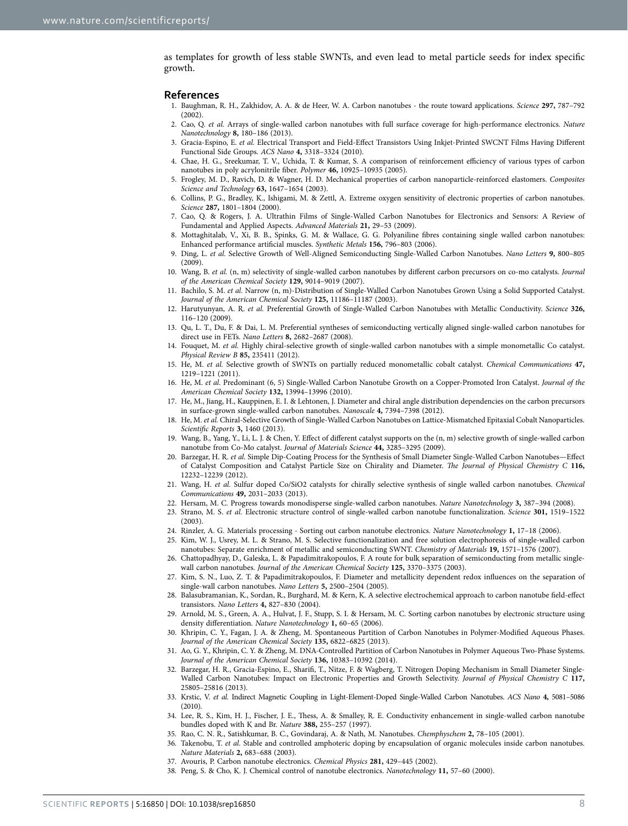as templates for growth of less stable SWNTs, and even lead to metal particle seeds for index specific growth.

#### **References**

- <span id="page-7-0"></span>1. Baughman, R. H., Zakhidov, A. A. & de Heer, W. A. Carbon nanotubes - the route toward applications. *Science* **297,** 787–792  $(2002)$
- 2. Cao, Q. *et al.* Arrays of single-walled carbon nanotubes with full surface coverage for high-performance electronics. *Nature Nanotechnology* **8,** 180–186 (2013).
- 3. Gracia-Espino, E. *et al.* Electrical Transport and Field-Effect Transistors Using Inkjet-Printed SWCNT Films Having Different Functional Side Groups. *ACS Nano* **4,** 3318–3324 (2010).
- <span id="page-7-1"></span>4. Chae, H. G., Sreekumar, T. V., Uchida, T. & Kumar, S. A comparison of reinforcement efficiency of various types of carbon nanotubes in poly acrylonitrile fiber. *Polymer* **46,** 10925–10935 (2005).
- <span id="page-7-2"></span>5. Frogley, M. D., Ravich, D. & Wagner, H. D. Mechanical properties of carbon nanoparticle-reinforced elastomers. *Composites Science and Technology* **63,** 1647–1654 (2003).
- <span id="page-7-3"></span>6. Collins, P. G., Bradley, K., Ishigami, M. & Zettl, A. Extreme oxygen sensitivity of electronic properties of carbon nanotubes. *Science* **287,** 1801–1804 (2000).
- <span id="page-7-4"></span>7. Cao, Q. & Rogers, J. A. Ultrathin Films of Single-Walled Carbon Nanotubes for Electronics and Sensors: A Review of Fundamental and Applied Aspects. *Advanced Materials* **21,** 29–53 (2009).
- <span id="page-7-5"></span>8. Mottaghitalab, V., Xi, B. B., Spinks, G. M. & Wallace, G. G. Polyaniline fibres containing single walled carbon nanotubes: Enhanced performance artificial muscles. *Synthetic Metals* **156,** 796–803 (2006).
- <span id="page-7-6"></span>9. Ding, L. *et al.* Selective Growth of Well-Aligned Semiconducting Single-Walled Carbon Nanotubes. *Nano Letters* **9,** 800–805  $(2009)$
- <span id="page-7-11"></span>10. Wang, B. *et al.* (n, m) selectivity of single-walled carbon nanotubes by different carbon precursors on co-mo catalysts. *Journal of the American Chemical Society* **129,** 9014–9019 (2007).
- <span id="page-7-13"></span>11. Bachilo, S. M. *et al.* Narrow (n, m)-Distribution of Single-Walled Carbon Nanotubes Grown Using a Solid Supported Catalyst. *Journal of the American Chemical Society* **125,** 11186–11187 (2003).
- <span id="page-7-9"></span>12. Harutyunyan, A. R. *et al.* Preferential Growth of Single-Walled Carbon Nanotubes with Metallic Conductivity. *Science* **326,** 116–120 (2009).
- 13. Qu, L. T., Du, F. & Dai, L. M. Preferential syntheses of semiconducting vertically aligned single-walled carbon nanotubes for direct use in FETs. *Nano Letters* **8,** 2682–2687 (2008).
- <span id="page-7-10"></span>14. Fouquet, M. *et al.* Highly chiral-selective growth of single-walled carbon nanotubes with a simple monometallic Co catalyst. *Physical Review B* **85,** 235411 (2012).
- 15. He, M. *et al.* Selective growth of SWNTs on partially reduced monometallic cobalt catalyst. *Chemical Communications* **47,** 1219–1221 (2011).
- <span id="page-7-17"></span>16. He, M. *et al.* Predominant (6, 5) Single-Walled Carbon Nanotube Growth on a Copper-Promoted Iron Catalyst. *Journal of the American Chemical Society* **132,** 13994–13996 (2010).
- <span id="page-7-12"></span>17. He, M., Jiang, H., Kauppinen, E. I. & Lehtonen, J. Diameter and chiral angle distribution dependencies on the carbon precursors in surface-grown single-walled carbon nanotubes. *Nanoscale* **4,** 7394–7398 (2012).
- <span id="page-7-14"></span>18. He, M. *et al.* Chiral-Selective Growth of Single-Walled Carbon Nanotubes on Lattice-Mismatched Epitaxial Cobalt Nanoparticles. *Scientific Reports* **3,** 1460 (2013).
- <span id="page-7-18"></span>19. Wang, B., Yang, Y., Li, L. J. & Chen, Y. Effect of different catalyst supports on the (n, m) selective growth of single-walled carbon nanotube from Co-Mo catalyst. *Journal of Materials Science* **44,** 3285–3295 (2009).
- <span id="page-7-15"></span>20. Barzegar, H. R. *et al.* Simple Dip-Coating Process for the Synthesis of Small Diameter Single-Walled Carbon Nanotubes—Effect of Catalyst Composition and Catalyst Particle Size on Chirality and Diameter. *The Journal of Physical Chemistry C* **116,** 12232–12239 (2012).
- <span id="page-7-16"></span>21. Wang, H. *et al.* Sulfur doped Co/SiO2 catalysts for chirally selective synthesis of single walled carbon nanotubes. *Chemical Communications* **49,** 2031–2033 (2013).
- <span id="page-7-7"></span>22. Hersam, M. C. Progress towards monodisperse single-walled carbon nanotubes. *Nature Nanotechnology* **3,** 387–394 (2008).
- 23. Strano, M. S. *et al.* Electronic structure control of single-walled carbon nanotube functionalization. *Science* **301,** 1519–1522 (2003).
- 24. Rinzler, A. G. Materials processing Sorting out carbon nanotube electronics. *Nature Nanotechnology* **1,** 17–18 (2006).
- 25. Kim, W. J., Usrey, M. L. & Strano, M. S. Selective functionalization and free solution electrophoresis of single-walled carbon nanotubes: Separate enrichment of metallic and semiconducting SWNT. *Chemistry of Materials* **19,** 1571–1576 (2007).
- 26. Chattopadhyay, D., Galeska, L. & Papadimitrakopoulos, F. A route for bulk separation of semiconducting from metallic singlewall carbon nanotubes. *Journal of the American Chemical Society* **125,** 3370–3375 (2003).
- 27. Kim, S. N., Luo, Z. T. & Papadimitrakopoulos, F. Diameter and metallicity dependent redox influences on the separation of single-wall carbon nanotubes. *Nano Letters* **5,** 2500–2504 (2005).
- 28. Balasubramanian, K., Sordan, R., Burghard, M. & Kern, K. A selective electrochemical approach to carbon nanotube field-effect transistors. *Nano Letters* **4,** 827–830 (2004).
- 29. Arnold, M. S., Green, A. A., Hulvat, J. F., Stupp, S. I. & Hersam, M. C. Sorting carbon nanotubes by electronic structure using density differentiation. *Nature Nanotechnology* **1,** 60–65 (2006).
- 30. Khripin, C. Y., Fagan, J. A. & Zheng, M. Spontaneous Partition of Carbon Nanotubes in Polymer-Modified Aqueous Phases. *Journal of the American Chemical Society* **135,** 6822–6825 (2013).
- 31. Ao, G. Y., Khripin, C. Y. & Zheng, M. DNA-Controlled Partition of Carbon Nanotubes in Polymer Aqueous Two-Phase Systems. *Journal of the American Chemical Society* **136,** 10383–10392 (2014).
- <span id="page-7-8"></span>32. Barzegar, H. R., Gracia-Espino, E., Sharifi, T., Nitze, F. & Wagberg, T. Nitrogen Doping Mechanism in Small Diameter Single-Walled Carbon Nanotubes: Impact on Electronic Properties and Growth Selectivity. *Journal of Physical Chemistry C* **117,** 25805–25816 (2013).
- 33. Krstic, V. *et al.* Indirect Magnetic Coupling in Light-Element-Doped Single-Walled Carbon Nanotubes. *ACS Nano* **4,** 5081–5086 (2010).
- 34. Lee, R. S., Kim, H. J., Fischer, J. E., Thess, A. & Smalley, R. E. Conductivity enhancement in single-walled carbon nanotube bundles doped with K and Br. *Nature* **388,** 255–257 (1997).
- 35. Rao, C. N. R., Satishkumar, B. C., Govindaraj, A. & Nath, M. Nanotubes. *Chemphyschem* **2,** 78–105 (2001).
- 36. Takenobu, T. *et al.* Stable and controlled amphoteric doping by encapsulation of organic molecules inside carbon nanotubes. *Nature Materials* **2,** 683–688 (2003).
- 37. Avouris, P. Carbon nanotube electronics. *Chemical Physics* **281,** 429–445 (2002).
- 38. Peng, S. & Cho, K. J. Chemical control of nanotube electronics. *Nanotechnology* **11,** 57–60 (2000).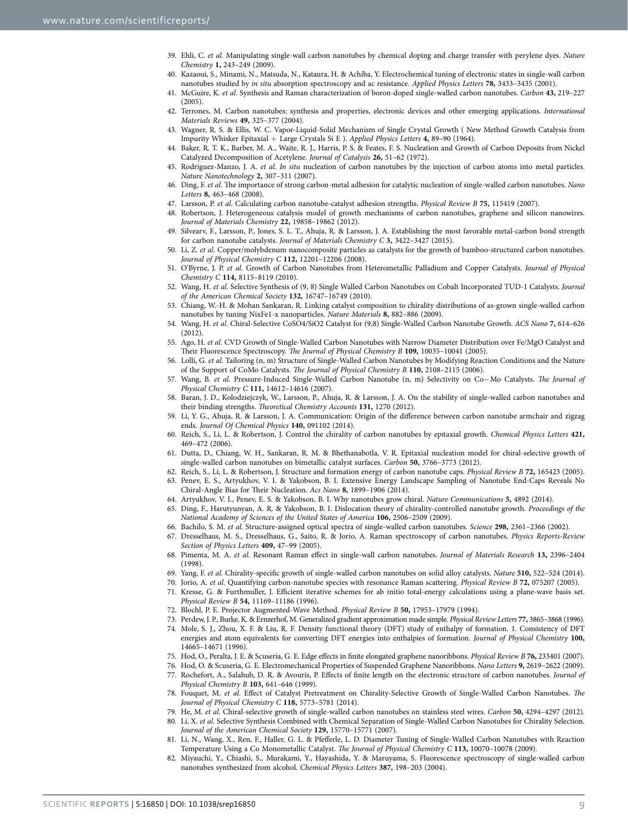- 39. Ehli, C. *et al.* Manipulating single-wall carbon nanotubes by chemical doping and charge transfer with perylene dyes. *Nature Chemistry* **1,** 243–249 (2009).
- 40. Kazaoui, S., Minami, N., Matsuda, N., Kataura, H. & Achiba, Y. Electrochemical tuning of electronic states in single-wall carbon nanotubes studied by *in situ* absorption spectroscopy and ac resistance. *Applied Physics Letters* **78,** 3433–3435 (2001).
- 41. McGuire, K. *et al.* Synthesis and Raman characterization of boron-doped single-walled carbon nanotubes. *Carbon* **43,** 219–227 (2005).
- 42. Terrones, M. Carbon nanotubes: synthesis and properties, electronic devices and other emerging applications. *International Materials Reviews* **49,** 325–377 (2004).
- <span id="page-8-0"></span>43. Wagner, R. S. & Ellis, W. C. Vapor-Liquid-Solid Mechanism of Single Crystal Growth ( New Method Growth Catalysis from Impurity Whisker Epitaxial + Large Crystals Si E ). *Applied Physics Letters* **4,** 89–90 (1964).
- 44. Baker, R. T. K., Barber, M. A., Waite, R. J., Harris, P. S. & Feates, F. S. Nucleation and Growth of Carbon Deposits from Nickel Catalyzed Decomposition of Acetylene. *Journal of Catalysis* **26,** 51–62 (1972).
- 45. Rodriguez-Manzo, J. A. *et al. In situ* nucleation of carbon nanotubes by the injection of carbon atoms into metal particles. *Nature Nanotechnology* **2,** 307–311 (2007).
- <span id="page-8-1"></span>46. Ding, F. *et al.* The importance of strong carbon-metal adhesion for catalytic nucleation of single-walled carbon nanotubes. *Nano Letters* **8,** 463–468 (2008).
- 47. Larsson, P. *et al.* Calculating carbon nanotube-catalyst adhesion strengths. *Physical Review B* **75,** 115419 (2007).
- 48. Robertson, J. Heterogeneous catalysis model of growth mechanisms of carbon nanotubes, graphene and silicon nanowires. *Journal of Materials Chemistry* **22,** 19858–19862 (2012).
- <span id="page-8-22"></span>49. Silvearv, F., Larsson, P., Jones, S. L. T., Ahuja, R. & Larsson, J. A. Establishing the most favorable metal-carbon bond strength for carbon nanotube catalysts. *Journal of Materials Chemistry C* **3,** 3422–3427 (2015).
- <span id="page-8-2"></span>50. Li, Z. *et al.* Copper/molybdenum nanocomposite particles as catalysts for the growth of bamboo-structured carbon nanotubes. *Journal of Physical Chemistry C* **112,** 12201–12206 (2008).
- <span id="page-8-3"></span>51. O'Byrne, J. P. *et al.* Growth of Carbon Nanotubes from Heterometallic Palladium and Copper Catalysts. *Journal of Physical Chemistry C* **114,** 8115–8119 (2010).
- <span id="page-8-4"></span>52. Wang, H. *et al.* Selective Synthesis of (9, 8) Single Walled Carbon Nanotubes on Cobalt Incorporated TUD-1 Catalysts. *Journal of the American Chemical Society* **132,** 16747–16749 (2010).
- <span id="page-8-24"></span>53. Chiang, W.-H. & Mohan Sankaran, R. Linking catalyst composition to chirality distributions of as-grown single-walled carbon nanotubes by tuning NixFe1-x nanoparticles. *Nature Materials* **8,** 882–886 (2009).
- 54. Wang, H. *et al.* Chiral-Selective CoSO4/SiO2 Catalyst for (9,8) Single-Walled Carbon Nanotube Growth. *ACS Nano* **7,** 614–626 (2012).
- <span id="page-8-23"></span>55. Ago, H. *et al.* CVD Growth of Single-Walled Carbon Nanotubes with Narrow Diameter Distribution over Fe/MgO Catalyst and Their Fluorescence Spectroscopy. *The Journal of Physical Chemistry B* **109,** 10035–10041 (2005).
- <span id="page-8-5"></span>56. Lolli, G. *et al.* Tailoring (n, m) Structure of Single-Walled Carbon Nanotubes by Modifying Reaction Conditions and the Nature of the Support of CoMo Catalysts. *The Journal of Physical Chemistry B* **110,** 2108–2115 (2006).
- <span id="page-8-6"></span>57. Wang, B. *et al.* Pressure-Induced Single-Walled Carbon Nanotube (n, m) Selectivity on Co−Mo Catalysts. *The Journal of Physical Chemistry C* **111,** 14612–14616 (2007).
- <span id="page-8-7"></span>58. Baran, J. D., Kolodziejczyk, W., Larsson, P., Ahuja, R. & Larsson, J. A. On the stability of single-walled carbon nanotubes and their binding strengths. *Theoretical Chemistry Accounts* **131,** 1270 (2012).
- <span id="page-8-8"></span>59. Li, Y. G., Ahuja, R. & Larsson, J. A. Communication: Origin of the difference between carbon nanotube armchair and zigzag ends. *Journal Of Chemical Physics* **140,** 091102 (2014).
- <span id="page-8-9"></span>60. Reich, S., Li, L. & Robertson, J. Control the chirality of carbon nanotubes by epitaxial growth. *Chemical Physics Letters* **421,** 469–472 (2006).
- 61. Dutta, D., Chiang, W. H., Sankaran, R. M. & Bhethanabotla, V. R. Epitaxial nucleation model for chiral-selective growth of single-walled carbon nanotubes on bimetallic catalyst surfaces. *Carbon* **50,** 3766–3773 (2012).
- 62. Reich, S., Li, L. & Robertson, J. Structure and formation energy of carbon nanotube caps. *Physical Review B* **72,** 165423 (2005). 63. Penev, E. S., Artyukhov, V. I. & Yakobson, B. I. Extensive Energy Landscape Sampling of Nanotube End-Caps Reveals No
- Chiral-Angle Bias for Their Nucleation. *Acs Nano* **8,** 1899–1906 (2014).
- <span id="page-8-10"></span>64. Artyukhov, V. I., Penev, E. S. & Yakobson, B. I. Why nanotubes grow chiral. *Nature Communications* **5,** 4892 (2014).
- <span id="page-8-11"></span>65. Ding, F., Harutyunyan, A. R. & Yakobson, B. I. Dislocation theory of chirality-controlled nanotube growth. *Proceedings of the National Academy of Sciences of the United States of America* **106,** 2506–2509 (2009).
- <span id="page-8-12"></span>66. Bachilo, S. M. *et al.* Structure-assigned optical spectra of single-walled carbon nanotubes. *Science* **298,** 2361–2366 (2002).
- 67. Dresselhaus, M. S., Dresselhaus, G., Saito, R. & Jorio, A. Raman spectroscopy of carbon nanotubes. *Physics Reports-Review Section of Physics Letters* **409,** 47–99 (2005).
- 68. Pimenta, M. A. *et al.* Resonant Raman effect in single-wall carbon nanotubes. *Journal of Materials Research* **13,** 2396–2404 (1998).
- <span id="page-8-13"></span>69. Yang, F. *et al.* Chirality-specific growth of single-walled carbon nanotubes on solid alloy catalysts. *Nature* **510,** 522–524 (2014).
- <span id="page-8-14"></span>70. Jorio, A. *et al.* Quantifying carbon-nanotube species with resonance Raman scattering. *Physical Review B* **72,** 075207 (2005).
- <span id="page-8-15"></span>71. Kresse, G. & Furthmuller, J. Efficient iterative schemes for ab initio total-energy calculations using a plane-wave basis set. *Physical Review B* **54,** 11169–11186 (1996).
- <span id="page-8-17"></span><span id="page-8-16"></span>72. Blochl, P. E. Projector Augmented-Wave Method. *Physical Review B* **50,** 17953–17979 (1994).
- 73. Perdew, J. P., Burke, K. & Ernzerhof, M. Generalized gradient approximation made simple. *Physical Review Letters* **77,** 3865–3868 (1996).
- <span id="page-8-18"></span>74. Mole, S. J., Zhou, X. F. & Liu, R. F. Density functional theory (DFT) study of enthalpy of formation. 1. Consistency of DFT energies and atom equivalents for converting DFT energies into enthalpies of formation. *Journal of Physical Chemistry* **100,** 14665–14671 (1996).
- <span id="page-8-19"></span>75. Hod, O., Peralta, J. E. & Scuseria, G. E. Edge effects in finite elongated graphene nanoribbons. *Physical Review B* **76,** 233401 (2007).
- 76. Hod, O. & Scuseria, G. E. Electromechanical Properties of Suspended Graphene Nanoribbons. *Nano Letters* **9,** 2619–2622 (2009). 77. Rochefort, A., Salahub, D. R. & Avouris, P. Effects of finite length on the electronic structure of carbon nanotubes. *Journal of*
- <span id="page-8-20"></span>*Physical Chemistry B* **103,** 641–646 (1999). 78. Fouquet, M. *et al.* Effect of Catalyst Pretreatment on Chirality-Selective Growth of Single-Walled Carbon Nanotubes. *The Journal of Physical Chemistry C* **118,** 5773–5781 (2014).
- 79. He, M. *et al.* Chiral-selective growth of single-walled carbon nanotubes on stainless steel wires. *Carbon* **50,** 4294–4297 (2012).
- <span id="page-8-21"></span>80. Li, X. *et al.* Selective Synthesis Combined with Chemical Separation of Single-Walled Carbon Nanotubes for Chirality Selection. *Journal of the American Chemical Society* **129,** 15770–15771 (2007).
- 81. Li, N., Wang, X., Ren, F., Haller, G. L. & Pfefferle, L. D. Diameter Tuning of Single-Walled Carbon Nanotubes with Reaction Temperature Using a Co Monometallic Catalyst. *The Journal of Physical Chemistry C* **113,** 10070–10078 (2009).
- 82. Miyauchi, Y., Chiashi, S., Murakami, Y., Hayashida, Y. & Maruyama, S. Fluorescence spectroscopy of single-walled carbon nanotubes synthesized from alcohol. *Chemical Physics Letters* **387,** 198–203 (2004).